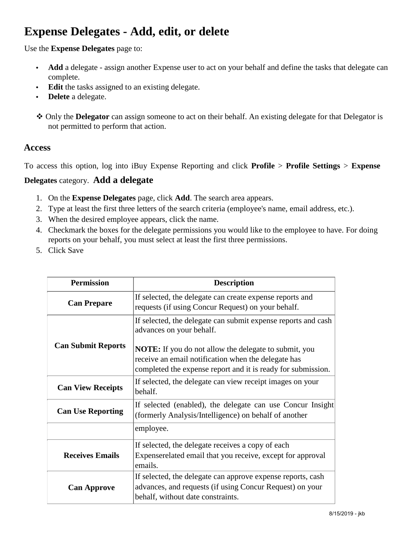# **Expense Delegates - Add, edit, or delete**

Use the **Expense Delegates** page to:

- **Add** a delegate assign another Expense user to act on your behalf and define the tasks that delegate can complete.
- **Edit** the tasks assigned to an existing delegate.
- **Delete** a delegate.
- Only the **Delegator** can assign someone to act on their behalf. An existing delegate for that Delegator is not permitted to perform that action.

#### **Access**

To access this option, log into iBuy Expense Reporting and click **Profile** > **Profile Settings** > **Expense** 

#### **Delegates** category. **Add a delegate**

- 1. On the **Expense Delegates** page, click **Add**. The search area appears.
- 2. Type at least the first three letters of the search criteria (employee's name, email address, etc.).
- 3. When the desired employee appears, click the name.
- 4. Checkmark the boxes for the delegate permissions you would like to the employee to have. For doing reports on your behalf, you must select at least the first three permissions.
- 5. Click Save

| <b>Permission</b>         | <b>Description</b>                                                                                                                                                                  |
|---------------------------|-------------------------------------------------------------------------------------------------------------------------------------------------------------------------------------|
| <b>Can Prepare</b>        | If selected, the delegate can create expense reports and<br>requests (if using Concur Request) on your behalf.                                                                      |
|                           | If selected, the delegate can submit expense reports and cash<br>advances on your behalf.                                                                                           |
| <b>Can Submit Reports</b> | <b>NOTE:</b> If you do not allow the delegate to submit, you<br>receive an email notification when the delegate has<br>completed the expense report and it is ready for submission. |
| <b>Can View Receipts</b>  | If selected, the delegate can view receipt images on your<br>behalf.                                                                                                                |
| <b>Can Use Reporting</b>  | If selected (enabled), the delegate can use Concur Insight<br>(formerly Analysis/Intelligence) on behalf of another                                                                 |
|                           | employee.                                                                                                                                                                           |
| <b>Receives Emails</b>    | If selected, the delegate receives a copy of each<br>Expenserelated email that you receive, except for approval<br>emails.                                                          |
| <b>Can Approve</b>        | If selected, the delegate can approve expense reports, cash<br>advances, and requests (if using Concur Request) on your<br>behalf, without date constraints.                        |